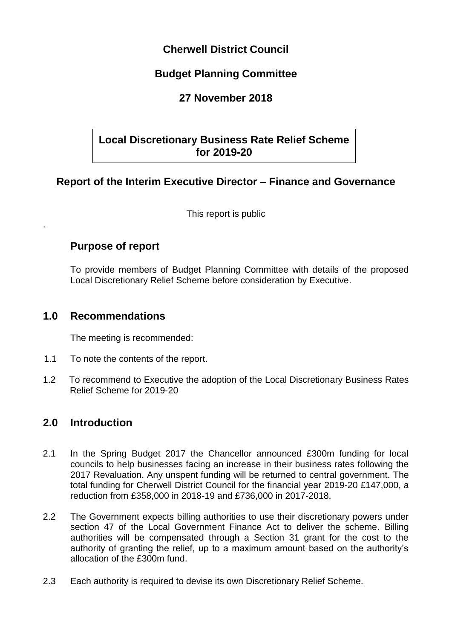# **Cherwell District Council**

# **Budget Planning Committee**

# **27 November 2018**

# **Local Discretionary Business Rate Relief Scheme for 2019-20**

# **Report of the Interim Executive Director – Finance and Governance**

This report is public

#### **Purpose of report**

.

To provide members of Budget Planning Committee with details of the proposed Local Discretionary Relief Scheme before consideration by Executive.

#### **1.0 Recommendations**

The meeting is recommended:

- 1.1 To note the contents of the report.
- 1.2 To recommend to Executive the adoption of the Local Discretionary Business Rates Relief Scheme for 2019-20

## **2.0 Introduction**

- 2.1 In the Spring Budget 2017 the Chancellor announced £300m funding for local councils to help businesses facing an increase in their business rates following the 2017 Revaluation. Any unspent funding will be returned to central government. The total funding for Cherwell District Council for the financial year 2019-20 £147,000, a reduction from £358,000 in 2018-19 and £736,000 in 2017-2018,
- 2.2 The Government expects billing authorities to use their discretionary powers under section 47 of the Local Government Finance Act to deliver the scheme. Billing authorities will be compensated through a Section 31 grant for the cost to the authority of granting the relief, up to a maximum amount based on the authority's allocation of the £300m fund.
- 2.3 Each authority is required to devise its own Discretionary Relief Scheme.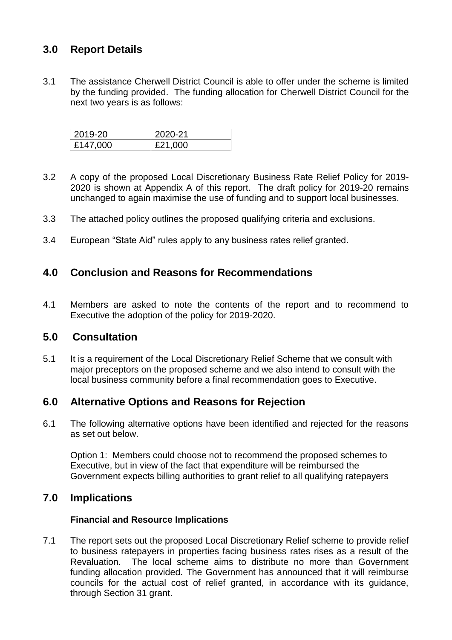# **3.0 Report Details**

3.1 The assistance Cherwell District Council is able to offer under the scheme is limited by the funding provided. The funding allocation for Cherwell District Council for the next two years is as follows:

| 2019-20  | 2020-21 |
|----------|---------|
| £147,000 | £21,000 |

- 3.2 A copy of the proposed Local Discretionary Business Rate Relief Policy for 2019- 2020 is shown at Appendix A of this report. The draft policy for 2019-20 remains unchanged to again maximise the use of funding and to support local businesses.
- 3.3 The attached policy outlines the proposed qualifying criteria and exclusions.
- 3.4 European "State Aid" rules apply to any business rates relief granted.

# **4.0 Conclusion and Reasons for Recommendations**

4.1 Members are asked to note the contents of the report and to recommend to Executive the adoption of the policy for 2019-2020.

## **5.0 Consultation**

5.1 It is a requirement of the Local Discretionary Relief Scheme that we consult with major preceptors on the proposed scheme and we also intend to consult with the local business community before a final recommendation goes to Executive.

## **6.0 Alternative Options and Reasons for Rejection**

6.1 The following alternative options have been identified and rejected for the reasons as set out below.

Option 1: Members could choose not to recommend the proposed schemes to Executive, but in view of the fact that expenditure will be reimbursed the Government expects billing authorities to grant relief to all qualifying ratepayers

## **7.0 Implications**

#### **Financial and Resource Implications**

7.1 The report sets out the proposed Local Discretionary Relief scheme to provide relief to business ratepayers in properties facing business rates rises as a result of the Revaluation. The local scheme aims to distribute no more than Government funding allocation provided. The Government has announced that it will reimburse councils for the actual cost of relief granted, in accordance with its guidance, through Section 31 grant.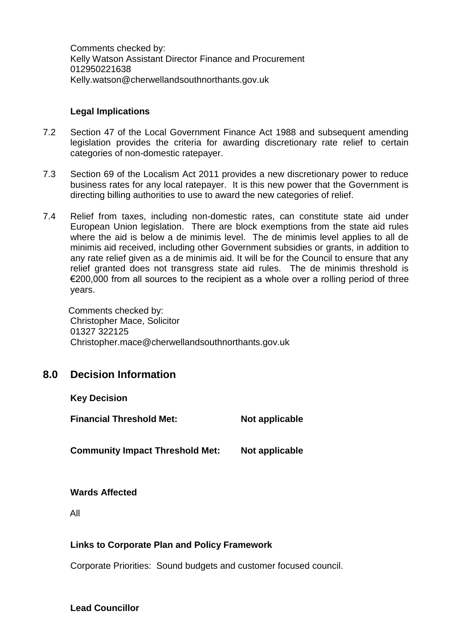Comments checked by: Kelly Watson Assistant Director Finance and Procurement 012950221638 Kelly.watson@cherwellandsouthnorthants.gov.uk

#### **Legal Implications**

- 7.2 Section 47 of the Local Government Finance Act 1988 and subsequent amending legislation provides the criteria for awarding discretionary rate relief to certain categories of non-domestic ratepayer.
- 7.3 Section 69 of the Localism Act 2011 provides a new discretionary power to reduce business rates for any local ratepayer. It is this new power that the Government is directing billing authorities to use to award the new categories of relief.
- 7.4 Relief from taxes, including non-domestic rates, can constitute state aid under European Union legislation. There are block exemptions from the state aid rules where the aid is below a de minimis level. The de minimis level applies to all de minimis aid received, including other Government subsidies or grants, in addition to any rate relief given as a de minimis aid. It will be for the Council to ensure that any relief granted does not transgress state aid rules. The de minimis threshold is  $\epsilon$ 200,000 from all sources to the recipient as a whole over a rolling period of three years.

 Comments checked by: Christopher Mace, Solicitor 01327 322125 Christopher.mace@cherwellandsouthnorthants.gov.uk

## **8.0 Decision Information**

**Key Decision**

**Financial Threshold Met:** Not applicable

**Community Impact Threshold Met: Not applicable**

#### **Wards Affected**

All

#### **Links to Corporate Plan and Policy Framework**

Corporate Priorities: Sound budgets and customer focused council.